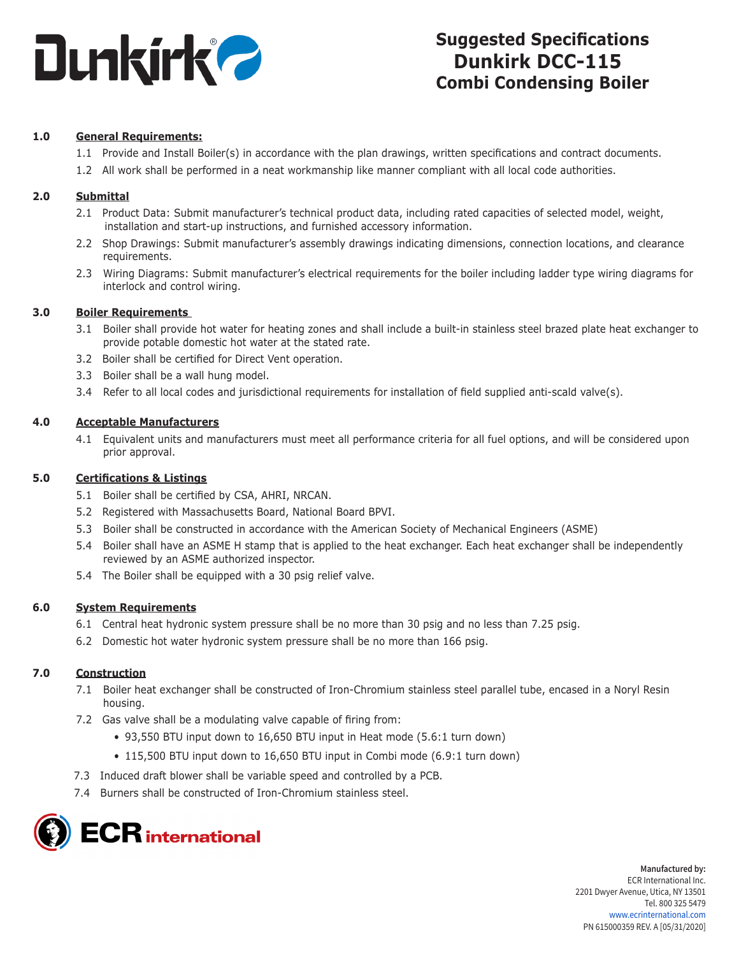

# **Suggested Specifications Dunkirk DCC-115 Combi Condensing Boiler**

# **1.0 General Requirements:**

- 1.1 Provide and Install Boiler(s) in accordance with the plan drawings, written specifications and contract documents.
- 1.2 All work shall be performed in a neat workmanship like manner compliant with all local code authorities.

## **2.0 Submittal**

- 2.1 Product Data: Submit manufacturer's technical product data, including rated capacities of selected model, weight, installation and start-up instructions, and furnished accessory information.
- 2.2 Shop Drawings: Submit manufacturer's assembly drawings indicating dimensions, connection locations, and clearance requirements.
- 2.3 Wiring Diagrams: Submit manufacturer's electrical requirements for the boiler including ladder type wiring diagrams for interlock and control wiring.

#### **3.0 Boiler Requirements**

- 3.1 Boiler shall provide hot water for heating zones and shall include a built-in stainless steel brazed plate heat exchanger to provide potable domestic hot water at the stated rate.
- 3.2 Boiler shall be certified for Direct Vent operation.
- 3.3 Boiler shall be a wall hung model.
- 3.4 Refer to all local codes and jurisdictional requirements for installation of field supplied anti-scald valve(s).

#### **4.0 Acceptable Manufacturers**

4.1 Equivalent units and manufacturers must meet all performance criteria for all fuel options, and will be considered upon prior approval.

#### **5.0 Certifications & Listings**

- 5.1 Boiler shall be certified by CSA, AHRI, NRCAN.
- 5.2 Registered with Massachusetts Board, National Board BPVI.
- 5.3 Boiler shall be constructed in accordance with the American Society of Mechanical Engineers (ASME)
- 5.4 Boiler shall have an ASME H stamp that is applied to the heat exchanger. Each heat exchanger shall be independently reviewed by an ASME authorized inspector.
- 5.4 The Boiler shall be equipped with a 30 psig relief valve.

#### **6.0 System Requirements**

- 6.1 Central heat hydronic system pressure shall be no more than 30 psig and no less than 7.25 psig.
- 6.2 Domestic hot water hydronic system pressure shall be no more than 166 psig.

#### **7.0 Construction**

- 7.1 Boiler heat exchanger shall be constructed of Iron-Chromium stainless steel parallel tube, encased in a Noryl Resin housing.
- 7.2 Gas valve shall be a modulating valve capable of firing from:
	- 93,550 BTU input down to 16,650 BTU input in Heat mode (5.6:1 turn down)
	- 115,500 BTU input down to 16,650 BTU input in Combi mode (6.9:1 turn down)
- 7.3 Induced draft blower shall be variable speed and controlled by a PCB.
- 7.4 Burners shall be constructed of Iron-Chromium stainless steel.



**Manufactured by:** ECR International Inc. 2201 Dwyer Avenue, Utica, NY 13501 Tel. 800 325 5479 www.ecrinternational.com PN 615000359 REV. A [05/31/2020]